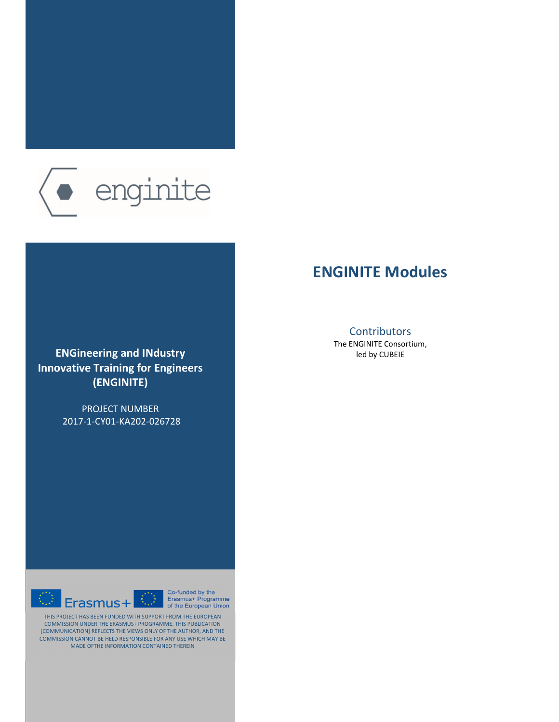

# **ENGineering and IΝdustry Innovative Training for Engineers (ENGINITE)**

PROJECT NUMBER 2017-1-CY01-KA202-026728

Erasmus+ Programme<br>of the European Union  $E$ rasmus+

Co-funded by the

THIS PROJECT HAS BEEN FUNDED WITH SUPPORT FROM THE EUROPEAN COMMISSION UNDER THE ERASMUS+ PROGRAMME. THIS PUBLICATION [COMMUNICATION] REFLECTS THE VIEWS ONLY OF THE AUTHOR, AND THE COMMISSION CANNOT BE HELD RESPONSIBLE FOR ANY USE WHICH MAY BE MADE OFTHE INFORMATION CONTAINED THEREIN

# **ENGINITE Modules**

# **Contributors**

The ENGINITE Consortium, led by CUBEIE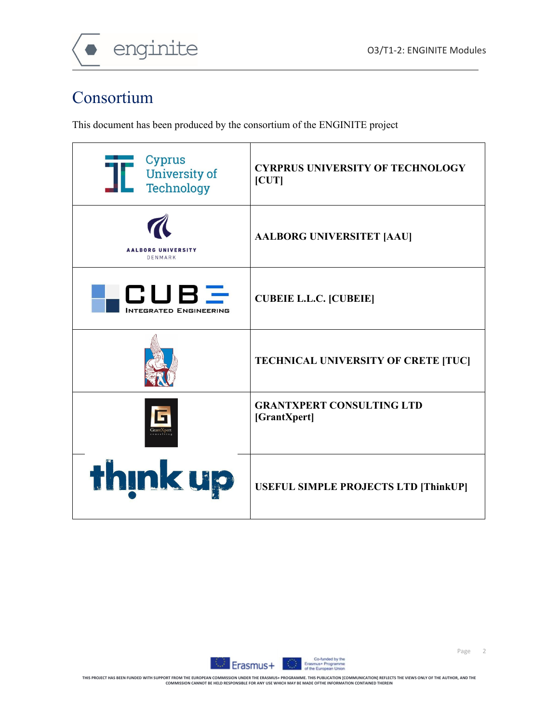

# Consortium

This document has been produced by the consortium of the ENGINITE project

| Cyprus<br>University of<br>Technology | <b>CYRPRUS UNIVERSITY OF TECHNOLOGY</b><br>[CUT] |
|---------------------------------------|--------------------------------------------------|
| <b>AALBORG UNIVERSITY</b><br>DENMARK  | <b>AALBORG UNIVERSITET [AAU]</b>                 |
| CUEE<br><b>NTEGRATED ENGINEERING</b>  | <b>CUBEIE L.L.C. [CUBEIE]</b>                    |
|                                       | TECHNICAL UNIVERSITY OF CRETE [TUC]              |
|                                       | <b>GRANTXPERT CONSULTING LTD</b><br>[GrantXpert] |
| <b>think up</b>                       | <b>USEFUL SIMPLE PROJECTS LTD [ThinkUP]</b>      |

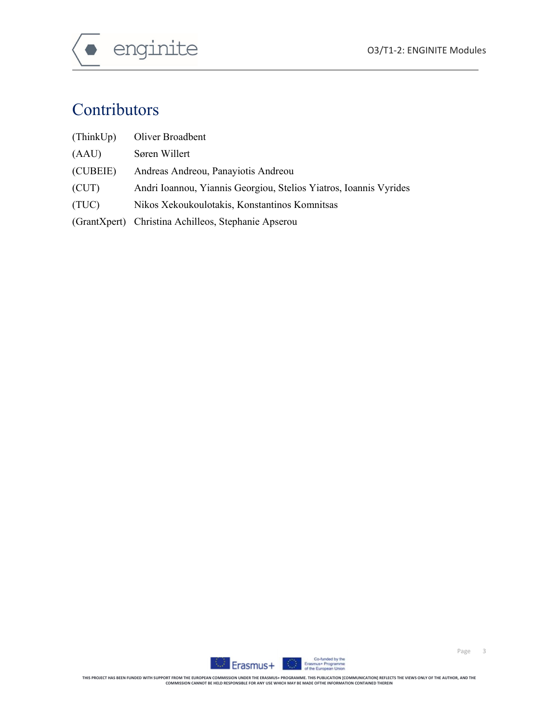

# Contributors

- (ThinkUp) Oliver Broadbent
- (AAU) Søren Willert
- (CUBEIE) Andreas Andreou, Panayiotis Andreou
- (CUT) Andri Ioannou, Yiannis Georgiou, Stelios Yiatros, Ioannis Vyrides
- (TUC) Nikos Xekoukoulotakis, Konstantinos Komnitsas
- (GrantXpert) Christina Achilleos, Stephanie Apserou

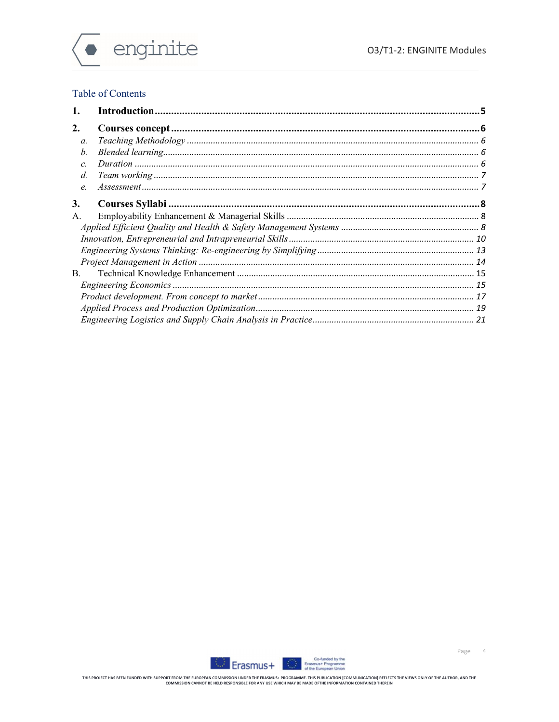

# Table of Contents

| 1.              |  |
|-----------------|--|
| 2.              |  |
| a.              |  |
| b.              |  |
| $\mathcal{C}$ . |  |
| $d$ .           |  |
| e.              |  |
| 3.              |  |
| А.              |  |
|                 |  |
|                 |  |
|                 |  |
|                 |  |
| B.              |  |
|                 |  |
|                 |  |
|                 |  |
|                 |  |

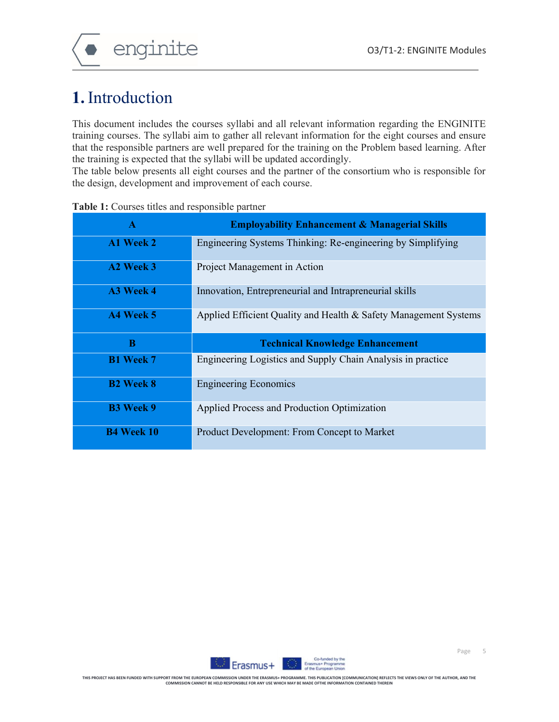

# **1.**Introduction

This document includes the courses syllabi and all relevant information regarding the ENGINITE training courses. The syllabi aim to gather all relevant information for the eight courses and ensure that the responsible partners are well prepared for the training on the Problem based learning. After the training is expected that the syllabi will be updated accordingly.

The table below presents all eight courses and the partner of the consortium who is responsible for the design, development and improvement of each course.

| $\mathbf{A}$     | <b>Employability Enhancement &amp; Managerial Skills</b>         |
|------------------|------------------------------------------------------------------|
| A1 Week 2        | Engineering Systems Thinking: Re-engineering by Simplifying      |
| A2 Week 3        | Project Management in Action                                     |
| A3 Week 4        | Innovation, Entrepreneurial and Intrapreneurial skills           |
| A4 Week 5        | Applied Efficient Quality and Health & Safety Management Systems |
|                  |                                                                  |
| B                | <b>Technical Knowledge Enhancement</b>                           |
| <b>B1 Week 7</b> | Engineering Logistics and Supply Chain Analysis in practice      |
| <b>B2</b> Week 8 | <b>Engineering Economics</b>                                     |
| <b>B3</b> Week 9 | Applied Process and Production Optimization                      |

**Table 1:** Courses titles and responsible partner

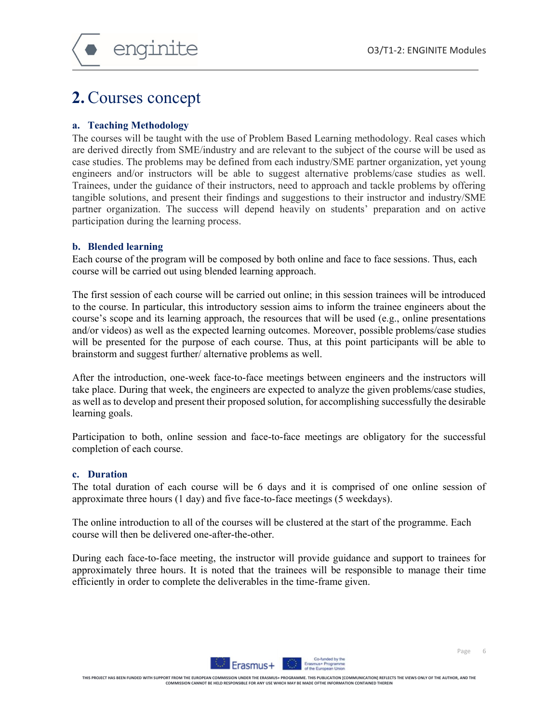# **2.**Courses concept

### **a. Teaching Methodology**

The courses will be taught with the use of Problem Based Learning methodology. Real cases which are derived directly from SME/industry and are relevant to the subject of the course will be used as case studies. The problems may be defined from each industry/SME partner organization, yet young engineers and/or instructors will be able to suggest alternative problems/case studies as well. Trainees, under the guidance of their instructors, need to approach and tackle problems by offering tangible solutions, and present their findings and suggestions to their instructor and industry/SME partner organization. The success will depend heavily on students' preparation and on active participation during the learning process.

#### **b. Blended learning**

Each course of the program will be composed by both online and face to face sessions. Thus, each course will be carried out using blended learning approach.

The first session of each course will be carried out online; in this session trainees will be introduced to the course. In particular, this introductory session aims to inform the trainee engineers about the course's scope and its learning approach, the resources that will be used (e.g., online presentations and/or videos) as well as the expected learning outcomes. Moreover, possible problems/case studies will be presented for the purpose of each course. Thus, at this point participants will be able to brainstorm and suggest further/ alternative problems as well.

After the introduction, one-week face-to-face meetings between engineers and the instructors will take place. During that week, the engineers are expected to analyze the given problems/case studies, as well as to develop and present their proposed solution, for accomplishing successfully the desirable learning goals.

Participation to both, online session and face-to-face meetings are obligatory for the successful completion of each course.

#### **c. Duration**

The total duration of each course will be 6 days and it is comprised of one online session of approximate three hours (1 day) and five face-to-face meetings (5 weekdays).

The online introduction to all of the courses will be clustered at the start of the programme. Each course will then be delivered one-after-the-other.

During each face-to-face meeting, the instructor will provide guidance and support to trainees for approximately three hours. It is noted that the trainees will be responsible to manage their time efficiently in order to complete the deliverables in the time-frame given.

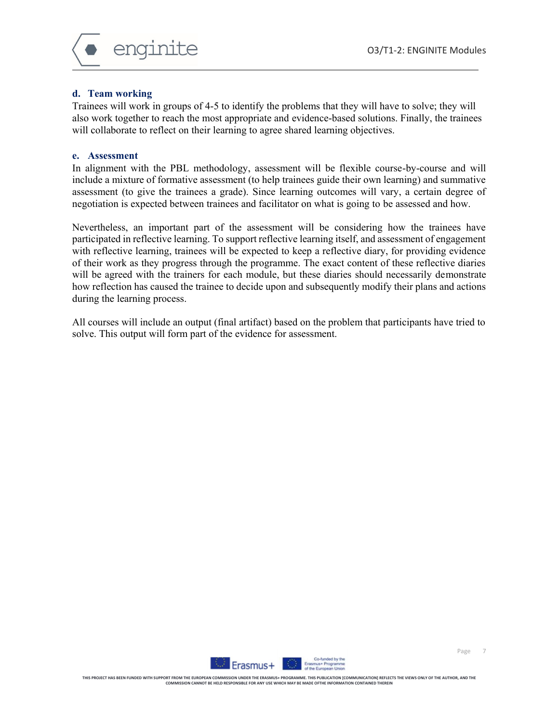

### **d. Team working**

Trainees will work in groups of 4-5 to identify the problems that they will have to solve; they will also work together to reach the most appropriate and evidence-based solutions. Finally, the trainees will collaborate to reflect on their learning to agree shared learning objectives.

#### **e. Assessment**

In alignment with the PBL methodology, assessment will be flexible course-by-course and will include a mixture of formative assessment (to help trainees guide their own learning) and summative assessment (to give the trainees a grade). Since learning outcomes will vary, a certain degree of negotiation is expected between trainees and facilitator on what is going to be assessed and how.

Nevertheless, an important part of the assessment will be considering how the trainees have participated in reflective learning. To support reflective learning itself, and assessment of engagement with reflective learning, trainees will be expected to keep a reflective diary, for providing evidence of their work as they progress through the programme. The exact content of these reflective diaries will be agreed with the trainers for each module, but these diaries should necessarily demonstrate how reflection has caused the trainee to decide upon and subsequently modify their plans and actions during the learning process.

All courses will include an output (final artifact) based on the problem that participants have tried to solve. This output will form part of the evidence for assessment.

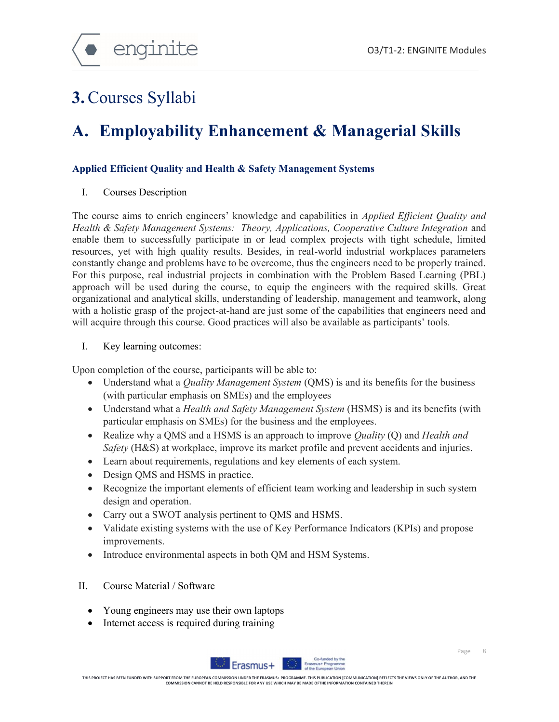

# **3.**Courses Syllabi

# **A. Employability Enhancement & Managerial Skills**

# **Applied Efficient Quality and Health & Safety Management Systems**

I. Courses Description

The course aims to enrich engineers' knowledge and capabilities in *Applied Efficient Quality and Health & Safety Management Systems: Theory, Applications, Cooperative Culture Integration* and enable them to successfully participate in or lead complex projects with tight schedule, limited resources, yet with high quality results. Besides, in real-world industrial workplaces parameters constantly change and problems have to be overcome, thus the engineers need to be properly trained. For this purpose, real industrial projects in combination with the Problem Based Learning (PBL) approach will be used during the course, to equip the engineers with the required skills. Great organizational and analytical skills, understanding of leadership, management and teamwork, along with a holistic grasp of the project-at-hand are just some of the capabilities that engineers need and will acquire through this course. Good practices will also be available as participants' tools.

I. Key learning outcomes:

Upon completion of the course, participants will be able to:

- Understand what a *Quality Management System* (QMS) is and its benefits for the business (with particular emphasis on SMEs) and the employees
- Understand what a *Health and Safety Management System* (HSMS) is and its benefits (with particular emphasis on SMEs) for the business and the employees.
- Realize why a QMS and a HSMS is an approach to improve *Quality* (Q) and *Health and Safety* (H&S) at workplace, improve its market profile and prevent accidents and injuries.
- Learn about requirements, regulations and key elements of each system.
- Design QMS and HSMS in practice.
- Recognize the important elements of efficient team working and leadership in such system design and operation.
- Carry out a SWOT analysis pertinent to QMS and HSMS.
- Validate existing systems with the use of Key Performance Indicators (KPIs) and propose improvements.
- Introduce environmental aspects in both QM and HSM Systems.
- II. Course Material / Software
	- Young engineers may use their own laptops
	- Internet access is required during training



Page 8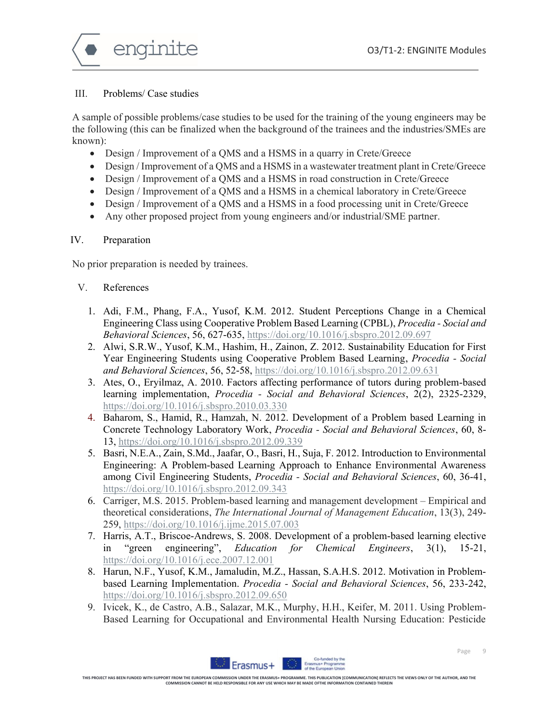

### III. Problems/ Case studies

A sample of possible problems/case studies to be used for the training of the young engineers may be the following (this can be finalized when the background of the trainees and the industries/SMEs are known):

- Design / Improvement of a QMS and a HSMS in a quarry in Crete/Greece
- Design / Improvement of a QMS and a HSMS in a wastewater treatment plant in Crete/Greece
- Design / Improvement of a QMS and a HSMS in road construction in Crete/Greece
- Design / Improvement of a QMS and a HSMS in a chemical laboratory in Crete/Greece
- Design / Improvement of a QMS and a HSMS in a food processing unit in Crete/Greece
- Any other proposed project from young engineers and/or industrial/SME partner.

### IV. Preparation

No prior preparation is needed by trainees.

# V. References

- 1. Adi, F.M., Phang, F.A., Yusof, K.M. 2012. Student Perceptions Change in a Chemical Engineering Class using Cooperative Problem Based Learning (CPBL), *Procedia - Social and Behavioral Sciences*, 56, 627-635, https://doi.org/10.1016/j.sbspro.2012.09.697
- 2. Alwi, S.R.W., Yusof, K.M., Hashim, H., Zainon, Z. 2012. Sustainability Education for First Year Engineering Students using Cooperative Problem Based Learning, *Procedia - Social and Behavioral Sciences*, 56, 52-58, https://doi.org/10.1016/j.sbspro.2012.09.631
- 3. Ates, O., Eryilmaz, A. 2010. Factors affecting performance of tutors during problem-based learning implementation, *Procedia - Social and Behavioral Sciences*, 2(2), 2325-2329, https://doi.org/10.1016/j.sbspro.2010.03.330
- 4. Baharom, S., Hamid, R., Hamzah, N. 2012. Development of a Problem based Learning in Concrete Technology Laboratory Work, *Procedia - Social and Behavioral Sciences*, 60, 8- 13, https://doi.org/10.1016/j.sbspro.2012.09.339
- 5. Basri, N.E.A., Zain, S.Md., Jaafar, O., Basri, H., Suja, F. 2012. Introduction to Environmental Engineering: A Problem-based Learning Approach to Enhance Environmental Awareness among Civil Engineering Students, *Procedia - Social and Behavioral Sciences*, 60, 36-41, https://doi.org/10.1016/j.sbspro.2012.09.343
- 6. Carriger, M.S. 2015. Problem-based learning and management development Empirical and theoretical considerations, *The International Journal of Management Education*, 13(3), 249- 259, https://doi.org/10.1016/j.ijme.2015.07.003
- 7. Harris, A.T., Briscoe-Andrews, S. 2008. Development of a problem-based learning elective in "green engineering", *Education for Chemical Engineers*, 3(1), 15-21, https://doi.org/10.1016/j.ece.2007.12.001
- 8. Harun, N.F., Yusof, K.M., Jamaludin, M.Z., Hassan, S.A.H.S. 2012. Motivation in Problembased Learning Implementation. *Procedia - Social and Behavioral Sciences*, 56, 233-242, https://doi.org/10.1016/j.sbspro.2012.09.650
- 9. Ivicek, K., de Castro, A.B., Salazar, M.K., Murphy, H.H., Keifer, M. 2011. Using Problem-Based Learning for Occupational and Environmental Health Nursing Education: Pesticide

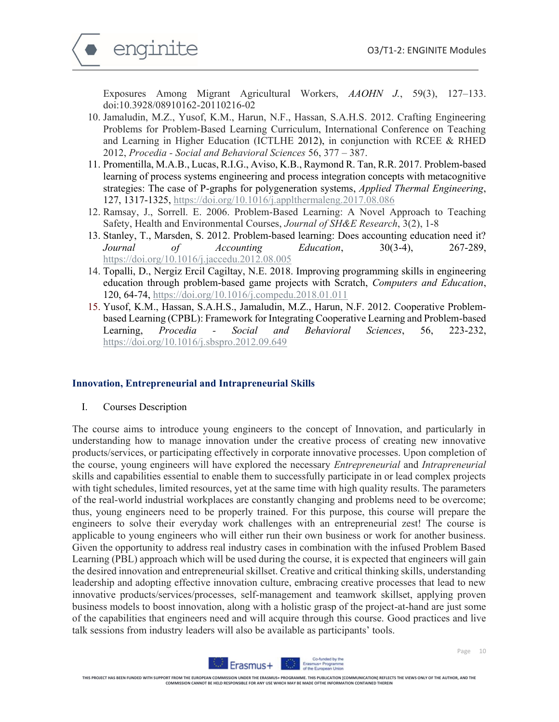

Exposures Among Migrant Agricultural Workers, *AAOHN J.*, 59(3), 127–133. doi:10.3928/08910162-20110216-02

- 10. Jamaludin, M.Z., Yusof, K.M., Harun, N.F., Hassan, S.A.H.S. 2012. Crafting Engineering Problems for Problem-Based Learning Curriculum, International Conference on Teaching and Learning in Higher Education (ICTLHE 2012), in conjunction with RCEE & RHED 2012, *Procedia - Social and Behavioral Sciences* 56, 377 – 387.
- 11. Promentilla, M.A.B., Lucas, R.I.G., Aviso, K.B., Raymond R. Tan, R.R. 2017. Problem-based learning of process systems engineering and process integration concepts with metacognitive strategies: The case of P-graphs for polygeneration systems, *Applied Thermal Engineering*, 127, 1317-1325, https://doi.org/10.1016/j.applthermaleng.2017.08.086
- 12. Ramsay, J., Sorrell. E. 2006. Problem-Based Learning: A Novel Approach to Teaching Safety, Health and Environmental Courses, *Journal of SH&E Research*, 3(2), 1-8
- 13. Stanley, T., Marsden, S. 2012. Problem-based learning: Does accounting education need it? *Journal of Accounting Education*, 30(3-4), 267-289, https://doi.org/10.1016/j.jaccedu.2012.08.005
- 14. Topalli, D., Nergiz Ercil Cagiltay, N.E. 2018. Improving programming skills in engineering education through problem-based game projects with Scratch, *Computers and Education*, 120, 64-74, https://doi.org/10.1016/j.compedu.2018.01.011
- 15. Yusof, K.M., Hassan, S.A.H.S., Jamaludin, M.Z., Harun, N.F. 2012. Cooperative Problembased Learning (CPBL): Framework for Integrating Cooperative Learning and Problem-based Learning, *Procedia - Social and Behavioral Sciences*, 56, 223-232, https://doi.org/10.1016/j.sbspro.2012.09.649

#### **Innovation, Entrepreneurial and Intrapreneurial Skills**

I. Courses Description

The course aims to introduce young engineers to the concept of Innovation, and particularly in understanding how to manage innovation under the creative process of creating new innovative products/services, or participating effectively in corporate innovative processes. Upon completion of the course, young engineers will have explored the necessary *Entrepreneurial* and *Intrapreneurial* skills and capabilities essential to enable them to successfully participate in or lead complex projects with tight schedules, limited resources, yet at the same time with high quality results. The parameters of the real-world industrial workplaces are constantly changing and problems need to be overcome; thus, young engineers need to be properly trained. For this purpose, this course will prepare the engineers to solve their everyday work challenges with an entrepreneurial zest! The course is applicable to young engineers who will either run their own business or work for another business. Given the opportunity to address real industry cases in combination with the infused Problem Based Learning (PBL) approach which will be used during the course, it is expected that engineers will gain the desired innovation and entrepreneurial skillset. Creative and critical thinking skills, understanding leadership and adopting effective innovation culture, embracing creative processes that lead to new innovative products/services/processes, self-management and teamwork skillset, applying proven business models to boost innovation, along with a holistic grasp of the project-at-hand are just some of the capabilities that engineers need and will acquire through this course. Good practices and live talk sessions from industry leaders will also be available as participants' tools.

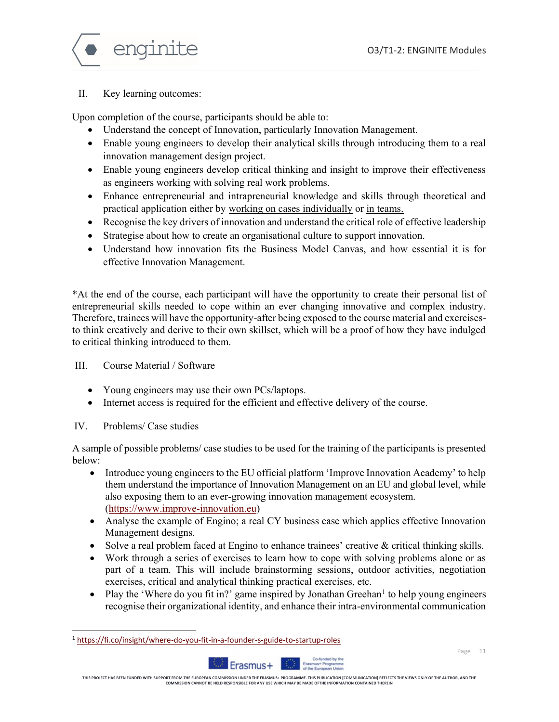

### II. Key learning outcomes:

Upon completion of the course, participants should be able to:

- Understand the concept of Innovation, particularly Innovation Management.
- Enable young engineers to develop their analytical skills through introducing them to a real innovation management design project.
- Enable young engineers develop critical thinking and insight to improve their effectiveness as engineers working with solving real work problems.
- Enhance entrepreneurial and intrapreneurial knowledge and skills through theoretical and practical application either by working on cases individually or in teams.
- Recognise the key drivers of innovation and understand the critical role of effective leadership
- Strategise about how to create an organisational culture to support innovation.
- Understand how innovation fits the Business Model Canvas, and how essential it is for effective Innovation Management.

\*At the end of the course, each participant will have the opportunity to create their personal list of entrepreneurial skills needed to cope within an ever changing innovative and complex industry. Therefore, trainees will have the opportunity-after being exposed to the course material and exercisesto think creatively and derive to their own skillset, which will be a proof of how they have indulged to critical thinking introduced to them.

III. Course Material / Software

- Young engineers may use their own PCs/laptops.
- Internet access is required for the efficient and effective delivery of the course.
- IV. Problems/ Case studies

 $\overline{a}$ 

A sample of possible problems/ case studies to be used for the training of the participants is presented below:

- Introduce young engineers to the EU official platform 'Improve Innovation Academy' to help them understand the importance of Innovation Management on an EU and global level, while also exposing them to an ever-growing innovation management ecosystem. (https://www.improve-innovation.eu)
- Analyse the example of Engino; a real CY business case which applies effective Innovation Management designs.
- Solve a real problem faced at Engino to enhance trainees' creative & critical thinking skills.
- Work through a series of exercises to learn how to cope with solving problems alone or as part of a team. This will include brainstorming sessions, outdoor activities, negotiation exercises, critical and analytical thinking practical exercises, etc.
- Play the 'Where do you fit in?' game inspired by Jonathan Greehan<sup>1</sup> to help young engineers recognise their organizational identity, and enhance their intra-environmental communication

<sup>1</sup> https://fi.co/insight/where-do-you-fit-in-a-founder-s-guide-to-startup-roles



THIS PROJECT HAS BEEN FUNDED WITH SUPPORT FROM THE EUROPEAN COMMISSION UNDER THE RASAMUS- PROGRAMMENT ON DROMAN MICOMMUNICATION (REFLECTS THE VIEWS ONLY OF THE AUTHOR, AND THE<br>THE SPONDER THE SOME DROW THE SOME SOMET BE HE

rasmus+ Program<br>The European Uni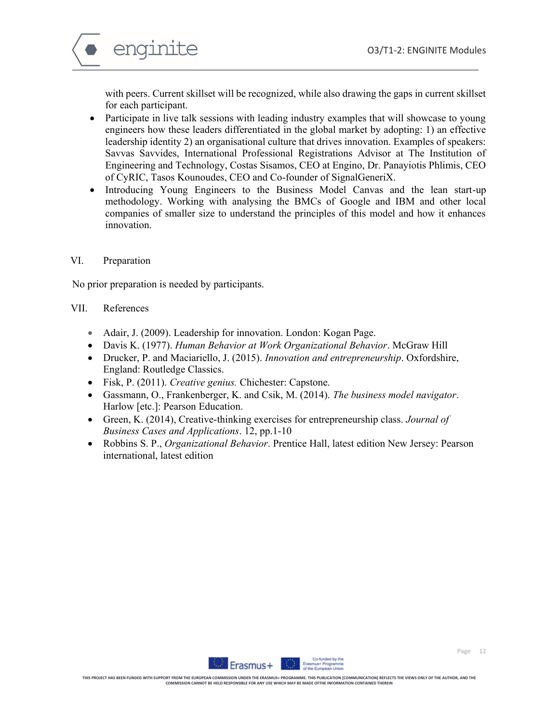

with peers. Current skillset will be recognized, while also drawing the gaps in current skillset for each participant.

- Participate in live talk sessions with leading industry examples that will showcase to young engineers how these leaders differentiated in the global market by adopting: 1) an effective leadership identity 2) an organisational culture that drives innovation. Examples of speakers: Savvas Savvides, International Professional Registrations Advisor at The Institution of Engineering and Technology, Costas Sisamos, CEO at Engino, Dr. Panayiotis Phlimis, CEO of CyRIC, Tasos Kounoudes, CEO and Co-founder of SignalGeneriX.
- Introducing Young Engineers to the Business Model Canvas and the lean start-up methodology. Working with analysing the BMCs of Google and IBM and other local companies of smaller size to understand the principles of this model and how it enhances innovation.

#### VI. Preparation

No prior preparation is needed by participants.

### VII. References

- Adair, J. (2009). Leadership for innovation. London: Kogan Page.
- Davis K. (1977). *Human Behavior at Work Organizational Behavior*. McGraw Hill
- Drucker, P. and Maciariello, J. (2015). *Innovation and entrepreneurship*. Oxfordshire, England: Routledge Classics.
- Fisk, P. (2011). *Creative genius.* Chichester: Capstone.
- Gassmann, O., Frankenberger, K. and Csik, M. (2014). *The business model navigator*. Harlow [etc.]: Pearson Education.
- Green, K. (2014), Creative-thinking exercises for entrepreneurship class. *Journal of Business Cases and Applications*. 12, pp.1-10
- Robbins S. P., *Organizational Behavior*. Prentice Hall, latest edition New Jersey: Pearson international, latest edition

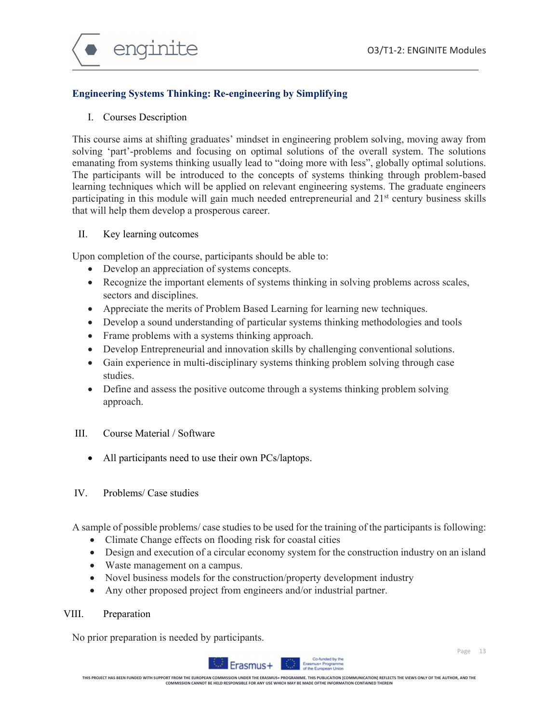

# **Engineering Systems Thinking: Re-engineering by Simplifying**

#### I. Courses Description

This course aims at shifting graduates' mindset in engineering problem solving, moving away from solving 'part'-problems and focusing on optimal solutions of the overall system. The solutions emanating from systems thinking usually lead to "doing more with less", globally optimal solutions. The participants will be introduced to the concepts of systems thinking through problem-based learning techniques which will be applied on relevant engineering systems. The graduate engineers participating in this module will gain much needed entrepreneurial and  $21<sup>st</sup>$  century business skills that will help them develop a prosperous career.

#### II. Key learning outcomes

Upon completion of the course, participants should be able to:

- Develop an appreciation of systems concepts.
- Recognize the important elements of systems thinking in solving problems across scales, sectors and disciplines.
- Appreciate the merits of Problem Based Learning for learning new techniques.
- Develop a sound understanding of particular systems thinking methodologies and tools
- Frame problems with a systems thinking approach.
- Develop Entrepreneurial and innovation skills by challenging conventional solutions.
- Gain experience in multi-disciplinary systems thinking problem solving through case studies.
- Define and assess the positive outcome through a systems thinking problem solving approach.
- III. Course Material / Software
	- All participants need to use their own PCs/laptops.

# IV. Problems/ Case studies

A sample of possible problems/ case studies to be used for the training of the participants is following:

- Climate Change effects on flooding risk for coastal cities
- Design and execution of a circular economy system for the construction industry on an island
- Waste management on a campus.
- Novel business models for the construction/property development industry
- Any other proposed project from engineers and/or industrial partner.

# VIII. Preparation

No prior preparation is needed by participants.

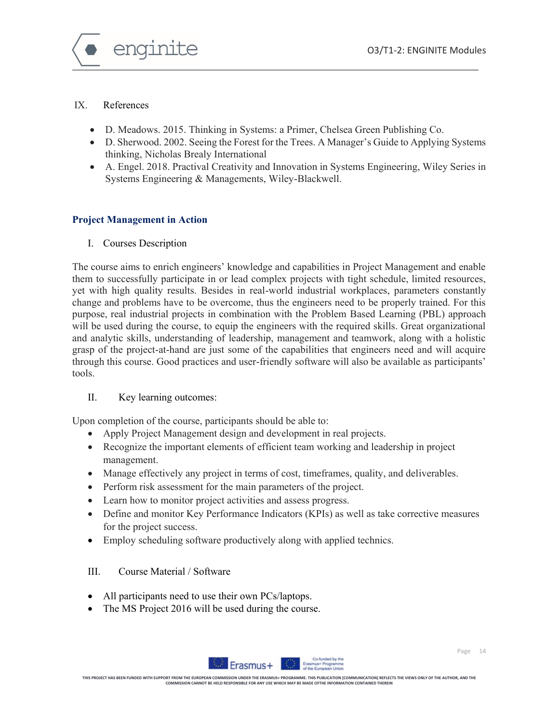

# IX. References

- D. Meadows. 2015. Thinking in Systems: a Primer, Chelsea Green Publishing Co.
- D. Sherwood. 2002. Seeing the Forest for the Trees. A Manager's Guide to Applying Systems thinking, Nicholas Brealy International
- A. Engel. 2018. Practival Creativity and Innovation in Systems Engineering, Wiley Series in Systems Engineering & Managements, Wiley-Blackwell.

# **Project Management in Action**

I. Courses Description

The course aims to enrich engineers' knowledge and capabilities in Project Management and enable them to successfully participate in or lead complex projects with tight schedule, limited resources, yet with high quality results. Besides in real-world industrial workplaces, parameters constantly change and problems have to be overcome, thus the engineers need to be properly trained. For this purpose, real industrial projects in combination with the Problem Based Learning (PBL) approach will be used during the course, to equip the engineers with the required skills. Great organizational and analytic skills, understanding of leadership, management and teamwork, along with a holistic grasp of the project-at-hand are just some of the capabilities that engineers need and will acquire through this course. Good practices and user-friendly software will also be available as participants' tools.

# II. Key learning outcomes:

Upon completion of the course, participants should be able to:

- Apply Project Management design and development in real projects.
- Recognize the important elements of efficient team working and leadership in project management.
- Manage effectively any project in terms of cost, timeframes, quality, and deliverables.
- Perform risk assessment for the main parameters of the project.
- Learn how to monitor project activities and assess progress.
- Define and monitor Key Performance Indicators (KPIs) as well as take corrective measures for the project success.
- Employ scheduling software productively along with applied technics.

# III. Course Material / Software

- All participants need to use their own PCs/laptops.
- The MS Project 2016 will be used during the course.

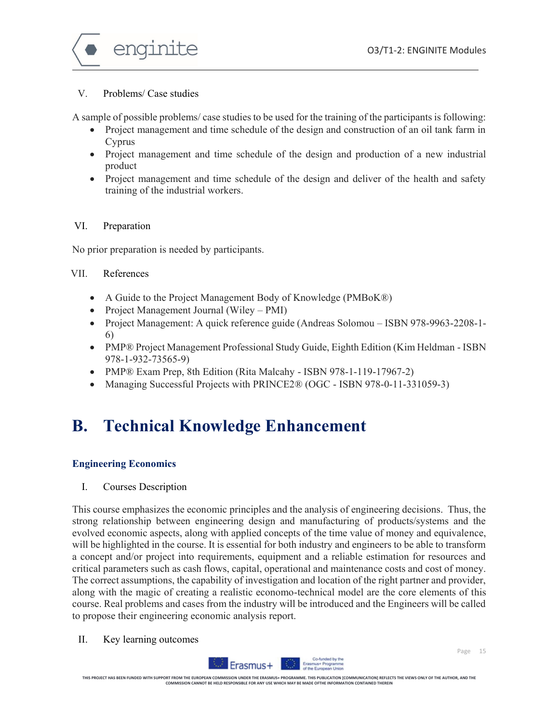

### V. Problems/ Case studies

A sample of possible problems/ case studies to be used for the training of the participants is following:

- Project management and time schedule of the design and construction of an oil tank farm in Cyprus
- Project management and time schedule of the design and production of a new industrial product
- Project management and time schedule of the design and deliver of the health and safety training of the industrial workers.

### VI. Preparation

No prior preparation is needed by participants.

### VII. References

- A Guide to the Project Management Body of Knowledge (PMBoK®)
- Project Management Journal (Wiley PMI)
- Project Management: A quick reference guide (Andreas Solomou ISBN 978-9963-2208-1- 6)
- PMP® Project Management Professional Study Guide, Eighth Edition (Kim Heldman ISBN 978-1-932-73565-9)
- PMP® Exam Prep, 8th Edition (Rita Malcahy ISBN 978-1-119-17967-2)
- Managing Successful Projects with PRINCE2® (OGC ISBN 978-0-11-331059-3)

# **B. Technical Knowledge Enhancement**

# **Engineering Economics**

I. Courses Description

This course emphasizes the economic principles and the analysis of engineering decisions. Thus, the strong relationship between engineering design and manufacturing of products/systems and the evolved economic aspects, along with applied concepts of the time value of money and equivalence, will be highlighted in the course. It is essential for both industry and engineers to be able to transform a concept and/or project into requirements, equipment and a reliable estimation for resources and critical parameters such as cash flows, capital, operational and maintenance costs and cost of money. The correct assumptions, the capability of investigation and location of the right partner and provider, along with the magic of creating a realistic economo-technical model are the core elements of this course. Real problems and cases from the industry will be introduced and the Engineers will be called to propose their engineering economic analysis report.

II. Key learning outcomes

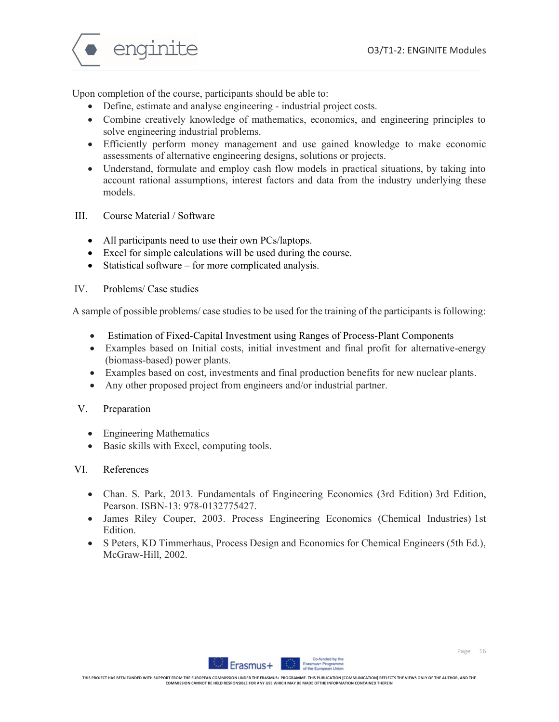

Upon completion of the course, participants should be able to:

- Define, estimate and analyse engineering industrial project costs.
- Combine creatively knowledge of mathematics, economics, and engineering principles to solve engineering industrial problems.
- Efficiently perform money management and use gained knowledge to make economic assessments of alternative engineering designs, solutions or projects.
- Understand, formulate and employ cash flow models in practical situations, by taking into account rational assumptions, interest factors and data from the industry underlying these models.
- III. Course Material / Software
	- All participants need to use their own PCs/laptops.
	- Excel for simple calculations will be used during the course.
	- Statistical software for more complicated analysis.

#### IV. Problems/ Case studies

A sample of possible problems/ case studies to be used for the training of the participants is following:

- Estimation of Fixed-Capital Investment using Ranges of Process-Plant Components
- Examples based on Initial costs, initial investment and final profit for alternative-energy (biomass-based) power plants.
- Examples based on cost, investments and final production benefits for new nuclear plants.
- Any other proposed project from engineers and/or industrial partner.

#### V. Preparation

- Engineering Mathematics
- Basic skills with Excel, computing tools.

#### VI. References

- Chan. S. Park, 2013. Fundamentals of Engineering Economics (3rd Edition) 3rd Edition, Pearson. ISBN-13: 978-0132775427.
- James Riley Couper, 2003. Process Engineering Economics (Chemical Industries) 1st Edition.
- S Peters, KD Timmerhaus, Process Design and Economics for Chemical Engineers (5th Ed.), McGraw-Hill, 2002.

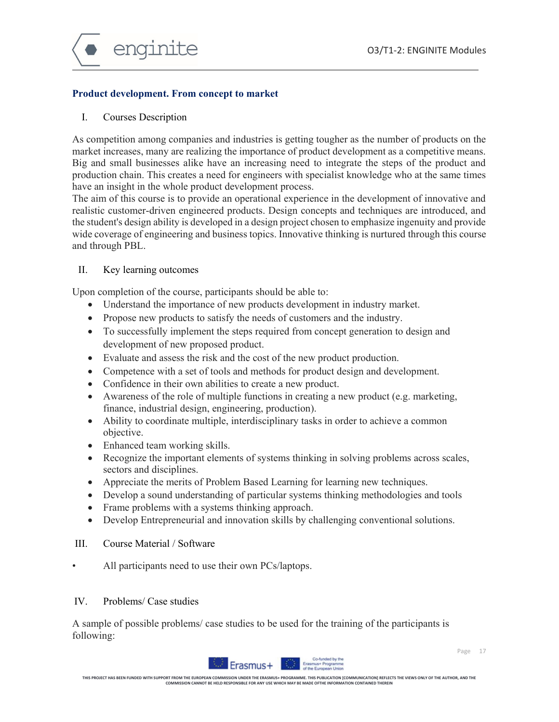

### **Product development. From concept to market**

#### I. Courses Description

As competition among companies and industries is getting tougher as the number of products on the market increases, many are realizing the importance of product development as a competitive means. Big and small businesses alike have an increasing need to integrate the steps of the product and production chain. This creates a need for engineers with specialist knowledge who at the same times have an insight in the whole product development process.

The aim of this course is to provide an operational experience in the development of innovative and realistic customer-driven engineered products. Design concepts and techniques are introduced, and the student's design ability is developed in a design project chosen to emphasize ingenuity and provide wide coverage of engineering and business topics. Innovative thinking is nurtured through this course and through PBL.

#### II. Key learning outcomes

Upon completion of the course, participants should be able to:

- Understand the importance of new products development in industry market.
- Propose new products to satisfy the needs of customers and the industry.
- To successfully implement the steps required from concept generation to design and development of new proposed product.
- Evaluate and assess the risk and the cost of the new product production.
- Competence with a set of tools and methods for product design and development.
- Confidence in their own abilities to create a new product.
- $\bullet$  Awareness of the role of multiple functions in creating a new product (e.g. marketing, finance, industrial design, engineering, production).
- Ability to coordinate multiple, interdisciplinary tasks in order to achieve a common objective.
- Enhanced team working skills.
- Recognize the important elements of systems thinking in solving problems across scales, sectors and disciplines.
- Appreciate the merits of Problem Based Learning for learning new techniques.
- Develop a sound understanding of particular systems thinking methodologies and tools
- Frame problems with a systems thinking approach.
- Develop Entrepreneurial and innovation skills by challenging conventional solutions.

# III. Course Material / Software

• All participants need to use their own PCs/laptops.

#### IV. Problems/ Case studies

A sample of possible problems/ case studies to be used for the training of the participants is following:

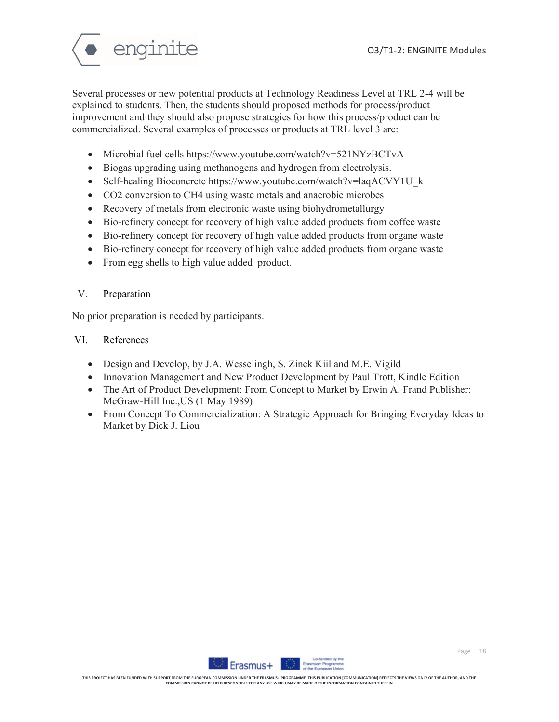enginite

Several processes or new potential products at Technology Readiness Level at TRL 2-4 will be explained to students. Then, the students should proposed methods for process/product improvement and they should also propose strategies for how this process/product can be commercialized. Several examples of processes or products at TRL level 3 are:

- Microbial fuel cells https://www.youtube.com/watch?v=521NYzBCTvA
- Biogas upgrading using methanogens and hydrogen from electrolysis.
- Self-healing Bioconcrete https://www.youtube.com/watch?v=laqACVY1U k
- CO2 conversion to CH4 using waste metals and anaerobic microbes
- Recovery of metals from electronic waste using biohydrometallurgy
- Bio-refinery concept for recovery of high value added products from coffee waste
- Bio-refinery concept for recovery of high value added products from organe waste
- Bio-refinery concept for recovery of high value added products from organe waste
- From egg shells to high value added product.

# V. Preparation

No prior preparation is needed by participants.

# VI. References

- Design and Develop, by J.A. Wesselingh, S. Zinck Kiil and M.E. Vigild
- Innovation Management and New Product Development by Paul Trott, Kindle Edition
- The Art of Product Development: From Concept to Market by Erwin A. Frand Publisher: McGraw-Hill Inc.,US (1 May 1989)
- From Concept To Commercialization: A Strategic Approach for Bringing Everyday Ideas to Market by Dick J. Liou

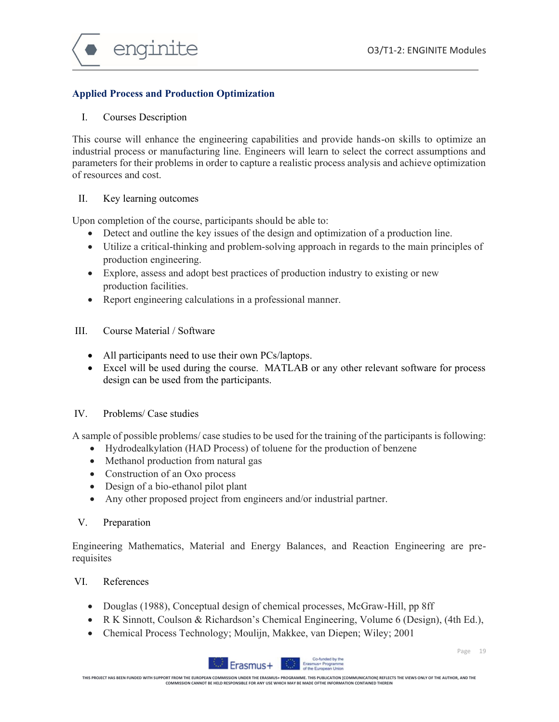

# **Applied Process and Production Optimization**

### I. Courses Description

This course will enhance the engineering capabilities and provide hands-on skills to optimize an industrial process or manufacturing line. Engineers will learn to select the correct assumptions and parameters for their problems in order to capture a realistic process analysis and achieve optimization of resources and cost.

### II. Key learning outcomes

Upon completion of the course, participants should be able to:

- Detect and outline the key issues of the design and optimization of a production line.
- Utilize a critical-thinking and problem-solving approach in regards to the main principles of production engineering.
- Explore, assess and adopt best practices of production industry to existing or new production facilities.
- Report engineering calculations in a professional manner.
- III. Course Material / Software
	- All participants need to use their own PCs/laptops.
	- Excel will be used during the course. MATLAB or any other relevant software for process design can be used from the participants.

# IV. Problems/ Case studies

A sample of possible problems/ case studies to be used for the training of the participants is following:

- Hydrodealkylation (HAD Process) of toluene for the production of benzene
- Methanol production from natural gas
- Construction of an Oxo process
- Design of a bio-ethanol pilot plant
- Any other proposed project from engineers and/or industrial partner.
- V. Preparation

Engineering Mathematics, Material and Energy Balances, and Reaction Engineering are prerequisites

# VI. References

- Douglas (1988), Conceptual design of chemical processes, McGraw-Hill, pp 8ff
- R K Sinnott, Coulson & Richardson's Chemical Engineering, Volume 6 (Design), (4th Ed.),
- Chemical Process Technology; Moulijn, Makkee, van Diepen; Wiley; 2001

Erasmus+



THIS PROJECT HAS BEEN FUNDED WITH SUPPORT FROM THE EUROPEAN COMMISSION UNDER THE RASAMUS- PROGRAMMENT ON DROMAN MICOMMUNICATION (REFLECTS THE VIEWS ONLY OF THE AUTHOR, AND THE<br>THE SPONDER THE SOME DROW THE SOME SOMET BE HE

**Un**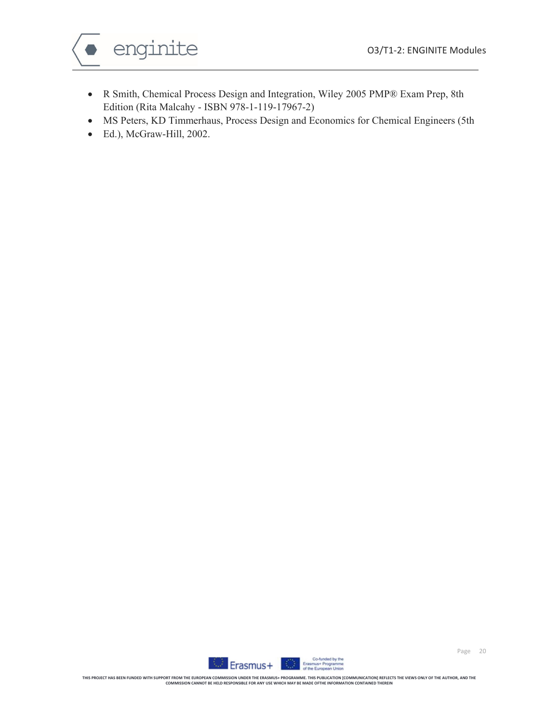

- R Smith, Chemical Process Design and Integration, Wiley 2005 PMP® Exam Prep, 8th Edition (Rita Malcahy - ISBN 978-1-119-17967-2)
- MS Peters, KD Timmerhaus, Process Design and Economics for Chemical Engineers (5th
- Ed.), McGraw-Hill, 2002.

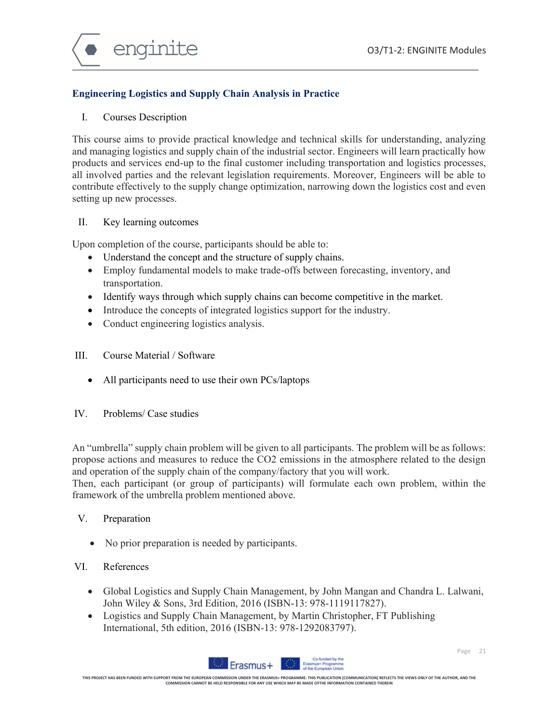

# **Engineering Logistics and Supply Chain Analysis in Practice**

#### I. Courses Description

This course aims to provide practical knowledge and technical skills for understanding, analyzing and managing logistics and supply chain of the industrial sector. Engineers will learn practically how products and services end-up to the final customer including transportation and logistics processes, all involved parties and the relevant legislation requirements. Moreover, Engineers will be able to contribute effectively to the supply change optimization, narrowing down the logistics cost and even setting up new processes.

#### II. Key learning outcomes

Upon completion of the course, participants should be able to:

- Understand the concept and the structure of supply chains.
- Employ fundamental models to make trade-offs between forecasting, inventory, and transportation.
- Identify ways through which supply chains can become competitive in the market.
- Introduce the concepts of integrated logistics support for the industry.
- Conduct engineering logistics analysis.
- III. Course Material / Software
	- All participants need to use their own PCs/laptops
- IV. Problems/ Case studies

An "umbrella" supply chain problem will be given to all participants. The problem will be as follows: propose actions and measures to reduce the CO2 emissions in the atmosphere related to the design and operation of the supply chain of the company/factory that you will work.

Then, each participant (or group of participants) will formulate each own problem, within the framework of the umbrella problem mentioned above.

- V. Preparation
	- No prior preparation is needed by participants.

### VI. References

- Global Logistics and Supply Chain Management, by John Mangan and Chandra L. Lalwani, John Wiley & Sons, 3rd Edition, 2016 (ISBN-13: 978-1119117827).
- Logistics and Supply Chain Management, by Martin Christopher, FT Publishing International, 5th edition, 2016 (ISBN-13: 978-1292083797).